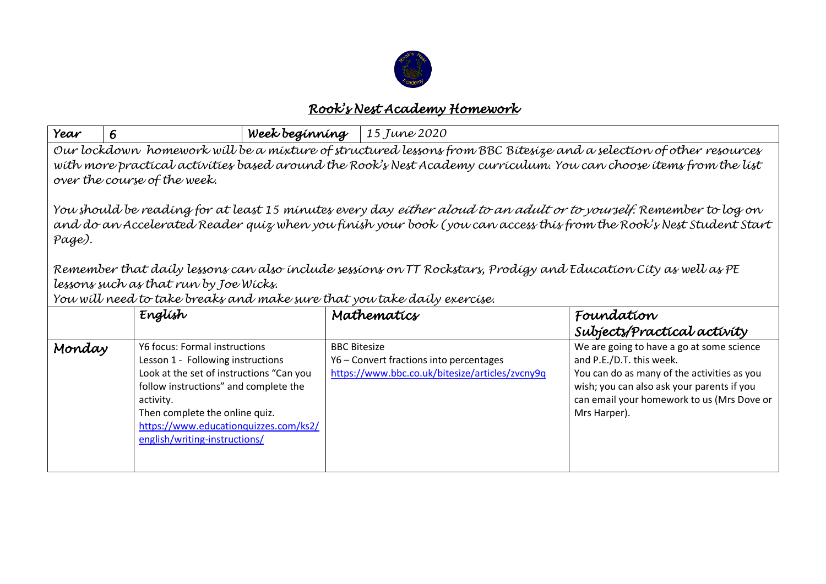

## *Rook's Nest Academy Homework*

| Year                                                                                                                                                                                                                                                                     | 6                                                                                                                                                                                                                                                                                | Week beginning | 15 June 2020                                                                                                      |                                                                                                                                                                                                                                  |  |  |  |
|--------------------------------------------------------------------------------------------------------------------------------------------------------------------------------------------------------------------------------------------------------------------------|----------------------------------------------------------------------------------------------------------------------------------------------------------------------------------------------------------------------------------------------------------------------------------|----------------|-------------------------------------------------------------------------------------------------------------------|----------------------------------------------------------------------------------------------------------------------------------------------------------------------------------------------------------------------------------|--|--|--|
| Our lockdown homework will be a mixture of structured lessons from BBC Bitesize and a selection of other resources<br>with more practical activities based around the Rook's Nest Academy curriculum. You can choose items from the list<br>over the course of the week. |                                                                                                                                                                                                                                                                                  |                |                                                                                                                   |                                                                                                                                                                                                                                  |  |  |  |
| You should be reading for at least 15 minutes every day <i>either aloud to an adult or to yourself.</i> Remember to log on<br>and do an Accelerated Reader quiz when you finish your book (you can access this from the Rook's Nest Student Start<br>Page).              |                                                                                                                                                                                                                                                                                  |                |                                                                                                                   |                                                                                                                                                                                                                                  |  |  |  |
| Remember that daily lessons can also include sessions on TT Rockstars, Prodigy and Education City as well as PE                                                                                                                                                          |                                                                                                                                                                                                                                                                                  |                |                                                                                                                   |                                                                                                                                                                                                                                  |  |  |  |
| lessons such as that run by Joe Wicks.<br>You will need to take breaks and make sure that you take daily exercise.                                                                                                                                                       |                                                                                                                                                                                                                                                                                  |                |                                                                                                                   |                                                                                                                                                                                                                                  |  |  |  |
|                                                                                                                                                                                                                                                                          | Englísh                                                                                                                                                                                                                                                                          |                | Mathematics                                                                                                       | Foundation                                                                                                                                                                                                                       |  |  |  |
|                                                                                                                                                                                                                                                                          |                                                                                                                                                                                                                                                                                  |                |                                                                                                                   | Subjects/Practical activity                                                                                                                                                                                                      |  |  |  |
| Monday                                                                                                                                                                                                                                                                   | Y6 focus: Formal instructions<br>Lesson 1 - Following instructions<br>Look at the set of instructions "Can you<br>follow instructions" and complete the<br>activity.<br>Then complete the online quiz.<br>https://www.educationquizzes.com/ks2/<br>english/writing-instructions/ |                | <b>BBC Bitesize</b><br>Y6 - Convert fractions into percentages<br>https://www.bbc.co.uk/bitesize/articles/zvcny9q | We are going to have a go at some science<br>and P.E./D.T. this week.<br>You can do as many of the activities as you<br>wish; you can also ask your parents if you<br>can email your homework to us (Mrs Dove or<br>Mrs Harper). |  |  |  |